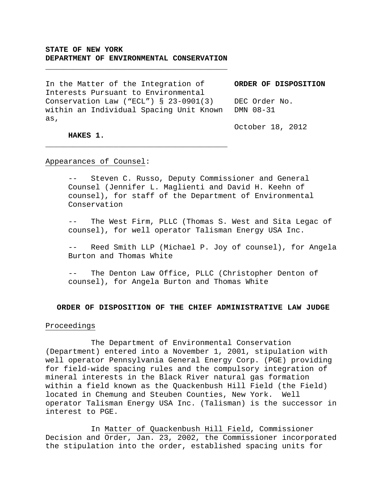## **STATE OF NEW YORK DEPARTMENT OF ENVIRONMENTAL CONSERVATION**

**\_\_\_\_\_\_\_\_\_\_\_\_\_\_\_\_\_\_\_\_\_\_\_\_\_\_\_\_\_\_\_\_\_\_\_\_\_\_\_\_** 

In the Matter of the Integration of Interests Pursuant to Environmental Conservation Law ("ECL") § 23-0901(3) within an Individual Spacing Unit Known DMN 08-31 as,

**\_\_\_\_\_\_\_\_\_\_\_\_\_\_\_\_\_\_\_\_\_\_\_\_\_\_\_\_\_\_\_\_\_\_\_\_\_\_\_\_**

**ORDER OF DISPOSITION** 

DEC Order No.

October 18, 2012

# **HAKES 1.**

#### Appearances of Counsel:

-- Steven C. Russo, Deputy Commissioner and General Counsel (Jennifer L. Maglienti and David H. Keehn of counsel), for staff of the Department of Environmental Conservation

-- The West Firm, PLLC (Thomas S. West and Sita Legac of counsel), for well operator Talisman Energy USA Inc.

-- Reed Smith LLP (Michael P. Joy of counsel), for Angela Burton and Thomas White

The Denton Law Office, PLLC (Christopher Denton of counsel), for Angela Burton and Thomas White

### **ORDER OF DISPOSITION OF THE CHIEF ADMINISTRATIVE LAW JUDGE**

#### Proceedings

 The Department of Environmental Conservation (Department) entered into a November 1, 2001, stipulation with well operator Pennsylvania General Energy Corp. (PGE) providing for field-wide spacing rules and the compulsory integration of mineral interests in the Black River natural gas formation within a field known as the Quackenbush Hill Field (the Field) located in Chemung and Steuben Counties, New York. Well operator Talisman Energy USA Inc. (Talisman) is the successor in interest to PGE.

 In Matter of Quackenbush Hill Field, Commissioner Decision and Order, Jan. 23, 2002, the Commissioner incorporated the stipulation into the order, established spacing units for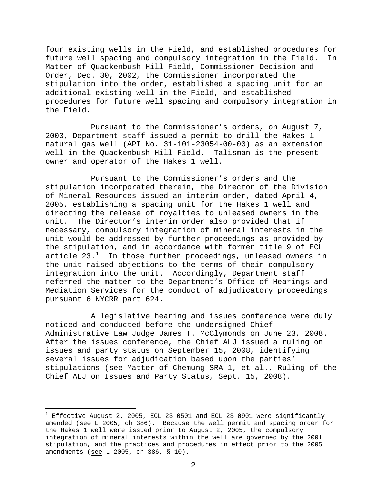four existing wells in the Field, and established procedures for future well spacing and compulsory integration in the Field. In Matter of Quackenbush Hill Field, Commissioner Decision and Order, Dec. 30, 2002, the Commissioner incorporated the stipulation into the order, established a spacing unit for an additional existing well in the Field, and established procedures for future well spacing and compulsory integration in the Field.

 Pursuant to the Commissioner's orders, on August 7, 2003, Department staff issued a permit to drill the Hakes 1 natural gas well (API No. 31-101-23054-00-00) as an extension well in the Quackenbush Hill Field. Talisman is the present owner and operator of the Hakes 1 well.

 Pursuant to the Commissioner's orders and the stipulation incorporated therein, the Director of the Division of Mineral Resources issued an interim order, dated April 4, 2005, establishing a spacing unit for the Hakes 1 well and directing the release of royalties to unleased owners in the unit. The Director's interim order also provided that if necessary, compulsory integration of mineral interests in the unit would be addressed by further proceedings as provided by the stipulation, and in accordance with former title 9 of ECL article  $23.^1$  $23.^1$  In those further proceedings, unleased owners in the unit raised objections to the terms of their compulsory integration into the unit. Accordingly, Department staff referred the matter to the Department's Office of Hearings and Mediation Services for the conduct of adjudicatory proceedings pursuant 6 NYCRR part 624.

 A legislative hearing and issues conference were duly noticed and conducted before the undersigned Chief Administrative Law Judge James T. McClymonds on June 23, 2008. After the issues conference, the Chief ALJ issued a ruling on issues and party status on September 15, 2008, identifying several issues for adjudication based upon the parties' stipulations (see Matter of Chemung SRA 1, et al., Ruling of the Chief ALJ on Issues and Party Status, Sept. 15, 2008).

i<br>Li

<span id="page-1-0"></span> $^{\rm 1}$  Effective August 2, 2005, ECL 23-0501 and ECL 23-0901 were significantly amended (see L 2005, ch 386). Because the well permit and spacing order for the Hakes 1 well were issued prior to August 2, 2005, the compulsory integration of mineral interests within the well are governed by the 2001 stipulation, and the practices and procedures in effect prior to the 2005 amendments (see L 2005, ch 386, § 10).